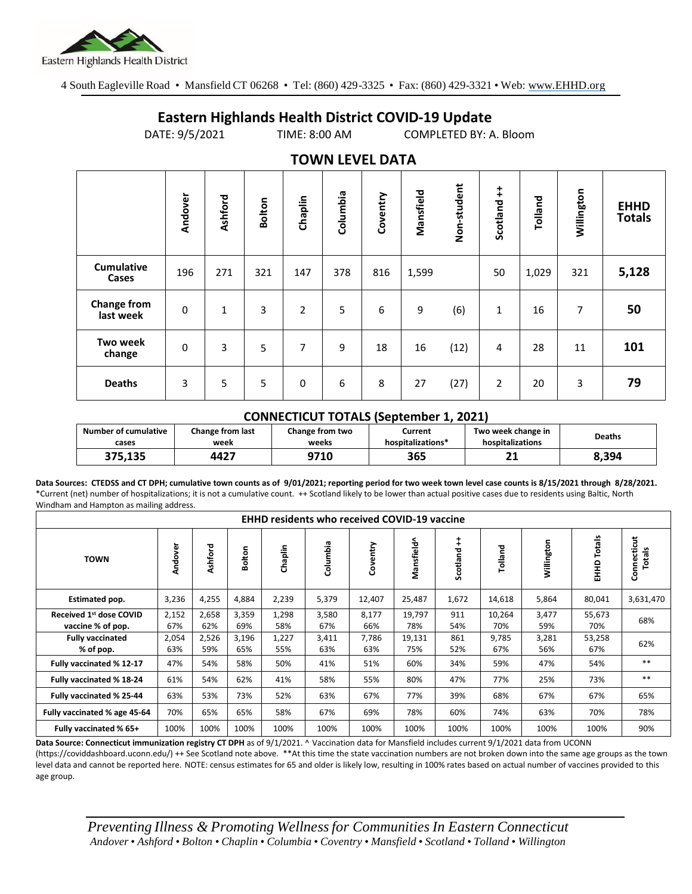

4 South Eagleville Road • Mansfield CT 06268 • Tel: (860) 429-3325 • Fax: (860) 429-3321 • Web: www.EHHD.org

## **Eastern Highlands Health District COVID-19 Update**

DATE: 9/5/2021 TIME: 8:00 AM COMPLETED BY: A. Bloom

| TUWIY LLYLL DATA                |             |              |               |                |          |          |           |             |                |         |            |                              |
|---------------------------------|-------------|--------------|---------------|----------------|----------|----------|-----------|-------------|----------------|---------|------------|------------------------------|
|                                 | Andover     | Ashford      | <b>Bolton</b> | Chaplin        | Columbia | Coventry | Mansfield | Non-student | Scotland ++    | Tolland | Willington | <b>EHHD</b><br><b>Totals</b> |
| <b>Cumulative</b><br>Cases      | 196         | 271          | 321           | 147            | 378      | 816      | 1,599     |             | 50             | 1,029   | 321        | 5,128                        |
| <b>Change from</b><br>last week | $\mathbf 0$ | $\mathbf{1}$ | 3             | $\overline{2}$ | 5        | 6        | 9         | (6)         | $\mathbf{1}$   | 16      | 7          | 50                           |
| <b>Two week</b><br>change       | $\mathbf 0$ | 3            | 5             | 7              | 9        | 18       | 16        | (12)        | 4              | 28      | 11         | 101                          |
| <b>Deaths</b>                   | 3           | 5            | 5             | $\pmb{0}$      | 6        | 8        | 27        | (27)        | $\overline{2}$ | 20      | 3          | 79                           |

## **TOWN LEVEL DATA**

## **CONNECTICUT TOTALS (September 1, 2021)**

| <b>Number of cumulative</b> | <b>Change from last</b> | Change from two | Current           | Two week change in | <b>Deaths</b> |  |
|-----------------------------|-------------------------|-----------------|-------------------|--------------------|---------------|--|
| cases                       | week                    | weeks           | hospitalizations* | hospitalizations   |               |  |
| 375.135                     | 4427                    | 9710            | 365               | r 1                | 8.394         |  |

**Data Sources: CTEDSS and CT DPH; cumulative town counts as of 9/01/2021; reporting period for two week town level case counts is 8/15/2021 through 8/28/2021.** \*Current (net) number of hospitalizations; it is not a cumulative count. ++ Scotland likely to be lower than actual positive cases due to residents using Baltic, North Windham and Hampton as mailing address.

| <b>EHHD residents who received COVID-19 vaccine</b> |              |              |              |              |              |              |               |               |               |              |                  |                       |
|-----------------------------------------------------|--------------|--------------|--------------|--------------|--------------|--------------|---------------|---------------|---------------|--------------|------------------|-----------------------|
| <b>TOWN</b>                                         | Andover      | Ashford      | ⊆<br>oto     | Chaplin      | Columbia     | Coventry     | Mansfield^    | ŧ<br>Scotland | Tolland       | Willington   | Totals<br>요<br>표 | Connecticut<br>Totals |
| Estimated pop.                                      | 3,236        | 4,255        | 4,884        | 2,239        | 5,379        | 12,407       | 25,487        | 1,672         | 14,618        | 5,864        | 80,041           | 3,631,470             |
| Received 1st dose COVID<br>vaccine % of pop.        | 2,152<br>67% | 2,658<br>62% | 3,359<br>69% | 1,298<br>58% | 3,580<br>67% | 8,177<br>66% | 19,797<br>78% | 911<br>54%    | 10,264<br>70% | 3,477<br>59% | 55,673<br>70%    | 68%                   |
| <b>Fully vaccinated</b><br>% of pop.                | 2,054<br>63% | 2,526<br>59% | 3,196<br>65% | 1,227<br>55% | 3,411<br>63% | 7,786<br>63% | 19,131<br>75% | 861<br>52%    | 9,785<br>67%  | 3,281<br>56% | 53,258<br>67%    | 62%                   |
| Fully vaccinated % 12-17                            | 47%          | 54%          | 58%          | 50%          | 41%          | 51%          | 60%           | 34%           | 59%           | 47%          | 54%              | $***$                 |
| Fully vaccinated % 18-24                            | 61%          | 54%          | 62%          | 41%          | 58%          | 55%          | 80%           | 47%           | 77%           | 25%          | 73%              | $***$                 |
| Fully vaccinated % 25-44                            | 63%          | 53%          | 73%          | 52%          | 63%          | 67%          | 77%           | 39%           | 68%           | 67%          | 67%              | 65%                   |
| Fully vaccinated % age 45-64                        | 70%          | 65%          | 65%          | 58%          | 67%          | 69%          | 78%           | 60%           | 74%           | 63%          | 70%              | 78%                   |
| Fully vaccinated % 65+                              | 100%         | 100%         | 100%         | 100%         | 100%         | 100%         | 100%          | 100%          | 100%          | 100%         | 100%             | 90%                   |

**Data Source: Connecticut immunization registry CT DPH** as of 9/1/2021. ^ Vaccination data for Mansfield includes current 9/1/2021 data from UCONN (https://coviddashboard.uconn.edu/) ++ See Scotland note above. \*\*At this time the state vaccination numbers are not broken down into the same age groups as the town

level data and cannot be reported here. NOTE: census estimates for 65 and older is likely low, resulting in 100% rates based on actual number of vaccines provided to this age group.

*Preventing Illness & Promoting Wellnessfor Communities In Eastern Connecticut* Andover . Ashford . Bolton . Chaplin . Columbia . Coventry . Mansfield . Scotland . Tolland . Willington